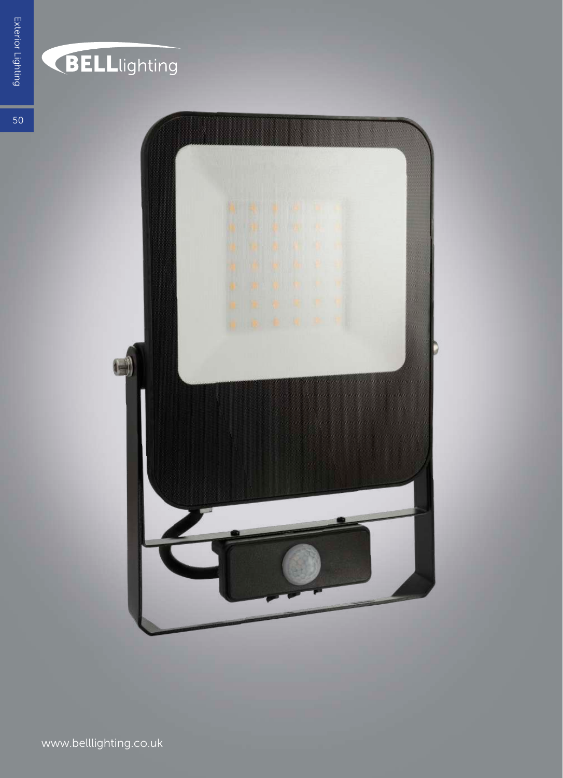

### **BELL**lighting

 $50<sup>°</sup>$ 

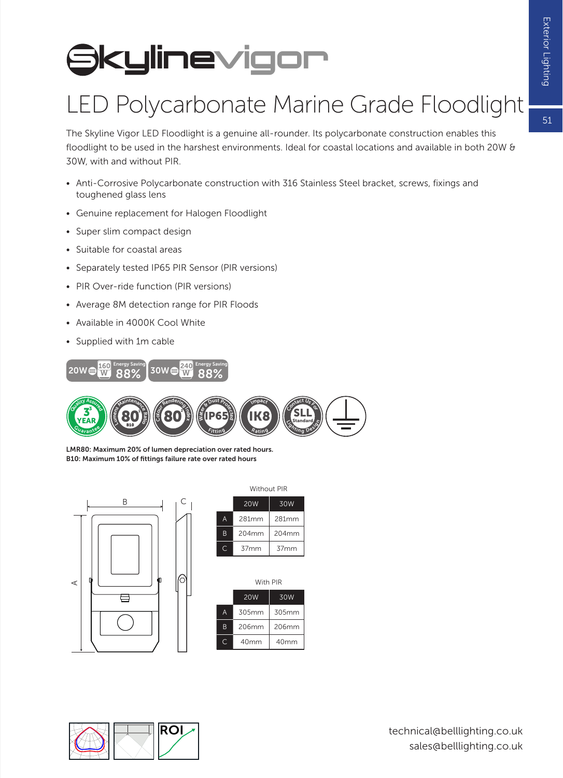$51$ 

## **Skylinevigor**

#### LED Polycarbonate Marine Grade Floodlight

The Skyline Vigor LED Floodlight is a genuine all-rounder. Its polycarbonate construction enables this floodlight to be used in the harshest environments. Ideal for coastal locations and available in both 20W & 30W, with and without PIR.

- Anti-Corrosive Polycarbonate construction with 316 Stainless Steel bracket, screws, fixings and toughened glass lens
- Genuine replacement for Halogen Floodlight
- Super slim compact design
- Suitable for coastal areas
- Separately tested IP65 PIR Sensor (PIR versions)
- PIR Over-ride function (PIR versions)
- Average 8M detection range for PIR Floods
- Available in 4000K Cool White
- Supplied with 1m cable



LMR80: Maximum 20% of lumen depreciation over rated hours. B10: Maximum 10% of fittings failure rate over rated hours



| 20 <sub>W</sub><br>30W               | <b>Without PIR</b> |  |  |  |  |
|--------------------------------------|--------------------|--|--|--|--|
|                                      |                    |  |  |  |  |
| 281mm<br>281mm                       |                    |  |  |  |  |
| 204mm<br>204mm                       |                    |  |  |  |  |
| 37 <sub>mm</sub><br>37 <sub>mm</sub> |                    |  |  |  |  |

|   | With PIR   |       |  |  |
|---|------------|-------|--|--|
|   | <b>20W</b> | 30W   |  |  |
|   | 305mm      | 305mm |  |  |
| B | 206mm      | 206mm |  |  |
|   | 40mm       | 40mm  |  |  |
|   |            |       |  |  |



technical@belllighting.co.uk sales@belllighting.co.uk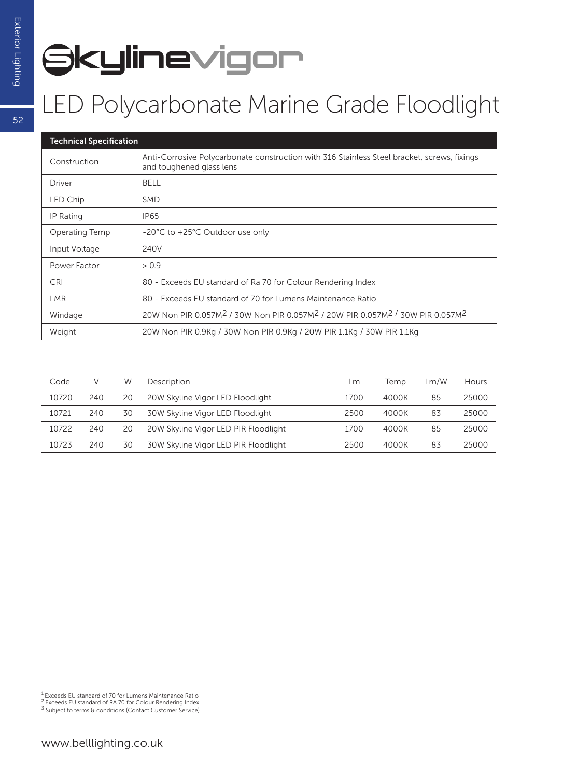# **Skylinevigor**

#### LED Polycarbonate Marine Grade Floodlight

| <b>Technical Specification</b> |                                                                                                                               |  |  |  |  |  |
|--------------------------------|-------------------------------------------------------------------------------------------------------------------------------|--|--|--|--|--|
| Construction                   | Anti-Corrosive Polycarbonate construction with 316 Stainless Steel bracket, screws, fixings<br>and toughened glass lens       |  |  |  |  |  |
| Driver                         | <b>BELL</b>                                                                                                                   |  |  |  |  |  |
| LED Chip                       | <b>SMD</b>                                                                                                                    |  |  |  |  |  |
| IP Rating                      | IP <sub>65</sub>                                                                                                              |  |  |  |  |  |
| Operating Temp                 | -20°C to +25°C Outdoor use only                                                                                               |  |  |  |  |  |
| Input Voltage                  | 240V                                                                                                                          |  |  |  |  |  |
| Power Factor                   | > 0.9                                                                                                                         |  |  |  |  |  |
| <b>CRI</b>                     | 80 - Exceeds EU standard of Ra 70 for Colour Rendering Index                                                                  |  |  |  |  |  |
| LMR.                           | 80 - Exceeds EU standard of 70 for Lumens Maintenance Ratio                                                                   |  |  |  |  |  |
| Windage                        | 20W Non PIR 0.057M <sup>2</sup> / 30W Non PIR 0.057M <sup>2</sup> / 20W PIR 0.057M <sup>2</sup> / 30W PIR 0.057M <sup>2</sup> |  |  |  |  |  |
| Weight                         | 20W Non PIR 0.9Kg / 30W Non PIR 0.9Kg / 20W PIR 1.1Kg / 30W PIR 1.1Kg                                                         |  |  |  |  |  |

| Code  |     | W  | Description                          | Lm   | Temp  | Lm/W | <b>Hours</b> |
|-------|-----|----|--------------------------------------|------|-------|------|--------------|
| 10720 | 240 | 20 | 20W Skyline Vigor LED Floodlight     | 1700 | 4000K | 85   | 25000        |
| 10721 | 240 | 30 | 30W Skyline Vigor LED Floodlight     | 2500 | 4000K | 83   | 25000        |
| 10722 | 240 | 20 | 20W Skyline Vigor LED PIR Floodlight | 1700 | 4000K | 85   | 25000        |
| 10723 | 240 | 30 | 30W Skyline Vigor LED PIR Floodlight | 2500 | 4000K | 83   | 25000        |

1 Exceeds EU standard of 70 for Lumens Maintenance Ratio

2 Exceeds EU standard of RA 70 for Colour Rendering Index

3 Subject to terms & conditions (Contact Customer Service)

52